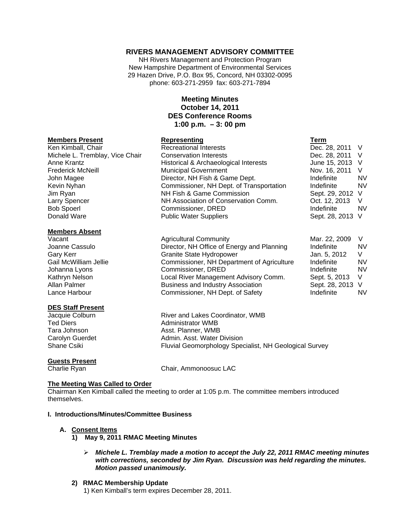## **RIVERS MANAGEMENT ADVISORY COMMITTEE**

NH Rivers Management and Protection Program New Hampshire Department of Environmental Services 29 Hazen Drive, P.O. Box 95, Concord, NH 03302-0095 phone: 603-271-2959 fax: 603-271-7894

## **Meeting Minutes October 14, 2011 DES Conference Rooms 1:00 p.m. – 3: 00 pm**

#### **Members Present Communist Representing**

Ken Kimball, Chair **Recreational Interests** Michele L. Tremblay, Vice Chair Conservation Interests Anne Krantz **Historical & Archaeological Interests** Frederick McNeill Municipal Government John Magee Director, NH Fish & Game Dept. Kevin Nyhan **Commissioner, NH Dept. of Transportation** Jim Ryan NH Fish & Game Commission Larry Spencer NH Association of Conservation Comm. Bob Spoerl Commissioner, DRED<br>
Donald Ware **Independent Commissioner**<br>
Public Water Suppliers

### **Members Absent**

Vacant Vacant Agricultural Community Joanne Cassulo **Director, NH Office of Energy and Planning** Joanne Cassulo Gary Kerr Granite State Hydropower Gail McWilliam Jellie Commissioner, NH Department of Agriculture Johanna Lyons Commissioner, DRED Kathryn Nelson **Local River Management Advisory Comm.** Local River Management Advisory Comm. Allan Palmer **Business and Industry Association** Lance Harbour Commissioner, NH Dept. of Safety

### **DES Staff Present**

# **Guests Present**

Jacquie Colburn River and Lakes Coordinator, WMB Ted Diers **Administrator WMB** Tara Johnson **Asst. Planner, WMB** Carolyn Guerdet **Admin.** Asst. Water Division Shane Csiki **Fluvial Geomorphology Specialist, NH Geological Survey** Fluvial Geomorphology Specialist, NH Geological Survey

Charlie Ryan Chair, Ammonoosuc LAC

Public Water Suppliers

### **The Meeting Was Called to Order**

Chairman Ken Kimball called the meeting to order at 1:05 p.m. The committee members introduced themselves.

### **I. Introductions/Minutes/Committee Business**

### **A. Consent Items**

- **1) May 9, 2011 RMAC Meeting Minutes** 
	- ¾ *Michele L. Tremblay made a motion to accept the July 22, 2011 RMAC meeting minutes with corrections, seconded by Jim Ryan. Discussion was held regarding the minutes. Motion passed unanimously.*

### **2) RMAC Membership Update**

1) Ken Kimball's term expires December 28, 2011.

| ı erm          |    |
|----------------|----|
| Dec. 28, 2011  | V  |
| Dec. 28, 2011  | V  |
| June 15, 2013  | V  |
| Nov. 16, 2011  | V  |
| Indefinite     | N٧ |
| Indefinite     | N٧ |
| Sept. 29, 2012 | V  |
| Oct. 12, 2013  | V  |
| Indefinite     | N٧ |
| Sept. 28, 2013 | V  |
|                |    |

| Mar. 22, 2009  | V  |
|----------------|----|
| Indefinite     | NV |
| Jan. 5, 2012   | V  |
| Indefinite     | NV |
| Indefinite     | NV |
| Sept. 5, 2013  | V  |
| Sept. 28, 2013 | V  |
| Indefinite     | NV |
|                |    |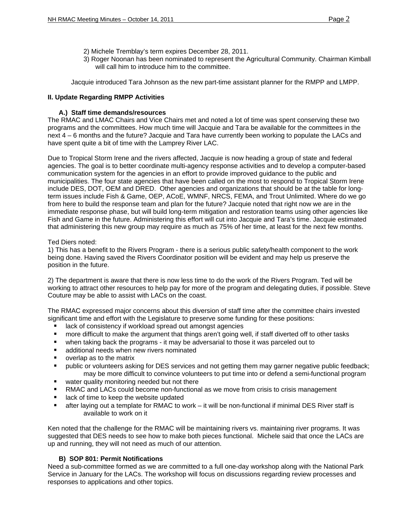- 2) Michele Tremblay's term expires December 28, 2011.
- 3) Roger Noonan has been nominated to represent the Agricultural Community. Chairman Kimball will call him to introduce him to the committee.

Jacquie introduced Tara Johnson as the new part-time assistant planner for the RMPP and LMPP.

## **II. Update Regarding RMPP Activities**

## **A.) Staff time demands/resources**

The RMAC and LMAC Chairs and Vice Chairs met and noted a lot of time was spent conserving these two programs and the committees. How much time will Jacquie and Tara be available for the committees in the next 4 – 6 months and the future? Jacquie and Tara have currently been working to populate the LACs and have spent quite a bit of time with the Lamprey River LAC.

Due to Tropical Storm Irene and the rivers affected, Jacquie is now heading a group of state and federal agencies. The goal is to better coordinate multi-agency response activities and to develop a computer-based communication system for the agencies in an effort to provide improved guidance to the public and municipalities. The four state agencies that have been called on the most to respond to Tropical Storm Irene include DES, DOT, OEM and DRED. Other agencies and organizations that should be at the table for longterm issues include Fish & Game, OEP, ACoE, WMNF, NRCS, FEMA, and Trout Unlimited. Where do we go from here to build the response team and plan for the future? Jacquie noted that right now we are in the immediate response phase, but will build long-term mitigation and restoration teams using other agencies like Fish and Game in the future. Administering this effort will cut into Jacquie and Tara's time. Jacquie estimated that administering this new group may require as much as 75% of her time, at least for the next few months.

### Ted Diers noted:

1) This has a benefit to the Rivers Program - there is a serious public safety/health component to the work being done. Having saved the Rivers Coordinator position will be evident and may help us preserve the position in the future.

2) The department is aware that there is now less time to do the work of the Rivers Program. Ted will be working to attract other resources to help pay for more of the program and delegating duties, if possible. Steve Couture may be able to assist with LACs on the coast.

The RMAC expressed major concerns about this diversion of staff time after the committee chairs invested significant time and effort with the Legislature to preserve some funding for these positions:

- lack of consistency if workload spread out amongst agencies
- more difficult to make the argument that things aren't going well, if staff diverted off to other tasks
- when taking back the programs it may be adversarial to those it was parceled out to
- additional needs when new rivers nominated
- overlap as to the matrix
- public or volunteers asking for DES services and not getting them may garner negative public feedback; may be more difficult to convince volunteers to put time into or defend a semi-functional program
- **water quality monitoring needed but not there**
- **RMAC** and LACs could become non-functional as we move from crisis to crisis management
- **If** lack of time to keep the website updated
- after laying out a template for RMAC to work it will be non-functional if minimal DES River staff is available to work on it

Ken noted that the challenge for the RMAC will be maintaining rivers vs. maintaining river programs. It was suggested that DES needs to see how to make both pieces functional. Michele said that once the LACs are up and running, they will not need as much of our attention.

### **B) SOP 801: Permit Notifications**

Need a sub-committee formed as we are committed to a full one-day workshop along with the National Park Service in January for the LACs. The workshop will focus on discussions regarding review processes and responses to applications and other topics.